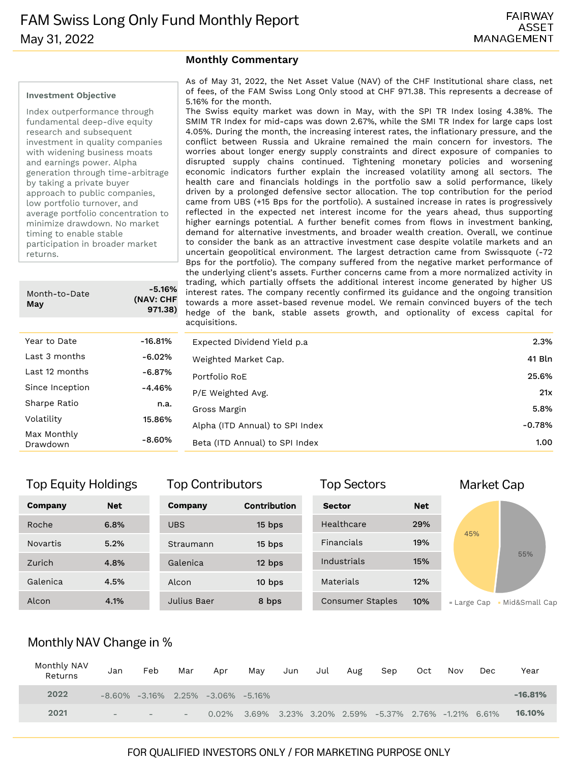#### **Investment Objective**

Index outperformance through fundamental deep-dive equity research and subsequent investment in quality companies with widening business moats and earnings power. Alpha generation through time-arbitrage by taking a private buyer approach to public companies, low portfolio turnover, and average portfolio concentration to minimize drawdown. No market timing to enable stable participation in broader market returns.

| Month-to-Date<br>May    | -5.16%<br>(NAV: CHF<br>971.38) |
|-------------------------|--------------------------------|
|                         |                                |
| Year to Date            | -16.81%                        |
| Last 3 months           | -6.02%                         |
| Last 12 months          | -6.87%                         |
| Since Inception         | $-4.46%$                       |
| Sharpe Ratio            | n.a.                           |
| Volatility              | 15.86%                         |
| Max Monthly<br>Drawdown | -8.60%                         |

#### **Monthly Commentary**

As of May 31, 2022, the Net Asset Value (NAV) of the CHF Institutional share class, net of fees, of the FAM Swiss Long Only stood at CHF 971.38. This represents a decrease of 5.16% for the month.

The Swiss equity market was down in May, with the SPI TR Index losing 4.38%. The SMIM TR Index for mid-caps was down 2.67%, while the SMI TR Index for large caps lost 4.05%. During the month, the increasing interest rates, the inflationary pressure, and the conflict between Russia and Ukraine remained the main concern for investors. The worries about longer energy supply constraints and direct exposure of companies to disrupted supply chains continued. Tightening monetary policies and worsening economic indicators further explain the increased volatility among all sectors. The health care and financials holdings in the portfolio saw a solid performance, likely driven by a prolonged defensive sector allocation. The top contribution for the period came from UBS (+15 Bps for the portfolio). A sustained increase in rates is progressively reflected in the expected net interest income for the years ahead, thus supporting higher earnings potential. A further benefit comes from flows in investment banking, demand for alternative investments, and broader wealth creation. Overall, we continue to consider the bank as an attractive investment case despite volatile markets and an uncertain geopolitical environment. The largest detraction came from Swissquote (-72 Bps for the portfolio). The company suffered from the negative market performance of the underlying client's assets. Further concerns came from a more normalized activity in trading, which partially offsets the additional interest income generated by higher US interest rates. The company recently confirmed its guidance and the ongoing transition towards a more asset-based revenue model. We remain convinced buyers of the tech hedge of the bank, stable assets growth, and optionality of excess capital for acquisitions.

|    | $-16.81\%$ | Expected Dividend Yield p.a.    | 2.3%     |
|----|------------|---------------------------------|----------|
|    | -6.02%     | Weighted Market Cap.            | 41 Bln   |
| s  | -6.87%     | Portfolio RoE                   | 25.6%    |
| 'n | -4.46%     | P/E Weighted Avg.               | 21x      |
|    | n.a.       | Gross Margin                    | 5.8%     |
|    | 15.86%     | Alpha (ITD Annual) to SPI Index | $-0.78%$ |
|    | $-8.60\%$  | Beta (ITD Annual) to SPI Index  | 1.00     |
|    |            |                                 |          |

Top Contributors Top Sectors Market Cap

## Top Equity Holdings Top Sectors

| Company         | <b>Net</b> | Company     | <b>Contribution</b> | <b>Sector</b>    | <b>Net</b> |                                |
|-----------------|------------|-------------|---------------------|------------------|------------|--------------------------------|
| Roche           | 6.8%       | <b>UBS</b>  | $15$ bps            | Healthcare       | 29%        |                                |
| <b>Novartis</b> | 5.2%       | Straumann   | 15 bps              | Financials       | 19%        | 45%                            |
| Zurich          | 4.8%       | Galenica    | 12 bps              | Industrials      | 15%        | 55%                            |
| Galenica        | 4.5%       | Alcon       | $10$ bps            | <b>Materials</b> | 12%        |                                |
| Alcon           | 4.1%       | Julius Baer | 8 bps               | Consumer Staples | 10%        | · Mid&Small Cap<br>■ Large Cap |

## Monthly NAV Change in %

| Monthly NAV<br>Returns | Jan                      | Feb                      | Mar                      | Apr                                 | May | Jun | Jul | Aug | Sep                                                        | Oct | Nov | Dec. | Year      |
|------------------------|--------------------------|--------------------------|--------------------------|-------------------------------------|-----|-----|-----|-----|------------------------------------------------------------|-----|-----|------|-----------|
| 2022                   | $-8.60\%$                |                          |                          | $-3.16\%$ 2.25% $-3.06\%$ $-5.16\%$ |     |     |     |     |                                                            |     |     |      | $-16.81%$ |
| 2021                   | $\overline{\phantom{a}}$ | $\overline{\phantom{a}}$ | $\overline{\phantom{a}}$ |                                     |     |     |     |     | $0.02\%$ 3.69% 3.23% 3.20% 2.59% -5.37% 2.76% -1.21% 6.61% |     |     |      | 16.10%    |

### FOR QUALIFIED INVESTORS ONLY / FOR MARKETING PURPOSE ONLY